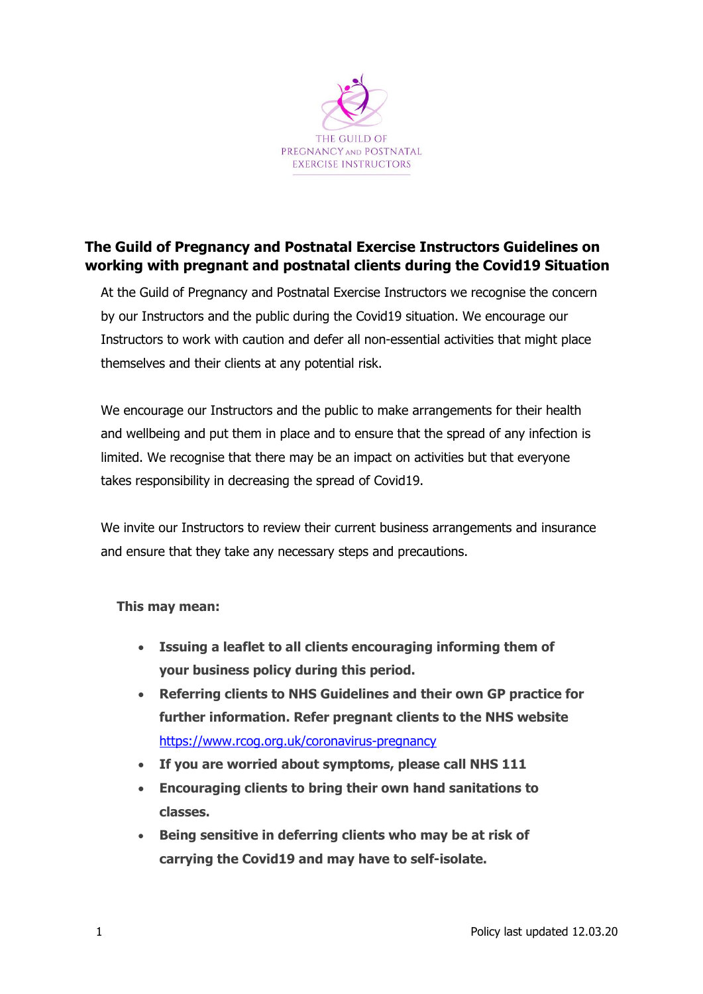

## **The Guild of Pregnancy and Postnatal Exercise Instructors Guidelines on working with pregnant and postnatal clients during the Covid19 Situation**

At the Guild of Pregnancy and Postnatal Exercise Instructors we recognise the concern by our Instructors and the public during the Covid19 situation. We encourage our Instructors to work with caution and defer all non-essential activities that might place themselves and their clients at any potential risk.

We encourage our Instructors and the public to make arrangements for their health and wellbeing and put them in place and to ensure that the spread of any infection is limited. We recognise that there may be an impact on activities but that everyone takes responsibility in decreasing the spread of Covid19.

We invite our Instructors to review their current business arrangements and insurance and ensure that they take any necessary steps and precautions.

## **This may mean:**

- **Issuing a leaflet to all clients encouraging informing them of your business policy during this period.**
- **Referring clients to NHS Guidelines and their own GP practice for further information. Refer pregnant clients to the NHS website**  <https://www.rcog.org.uk/coronavirus-pregnancy>
- **If you are worried about symptoms, please call NHS 111**
- **Encouraging clients to bring their own hand sanitations to classes.**
- **Being sensitive in deferring clients who may be at risk of carrying the Covid19 and may have to self-isolate.**